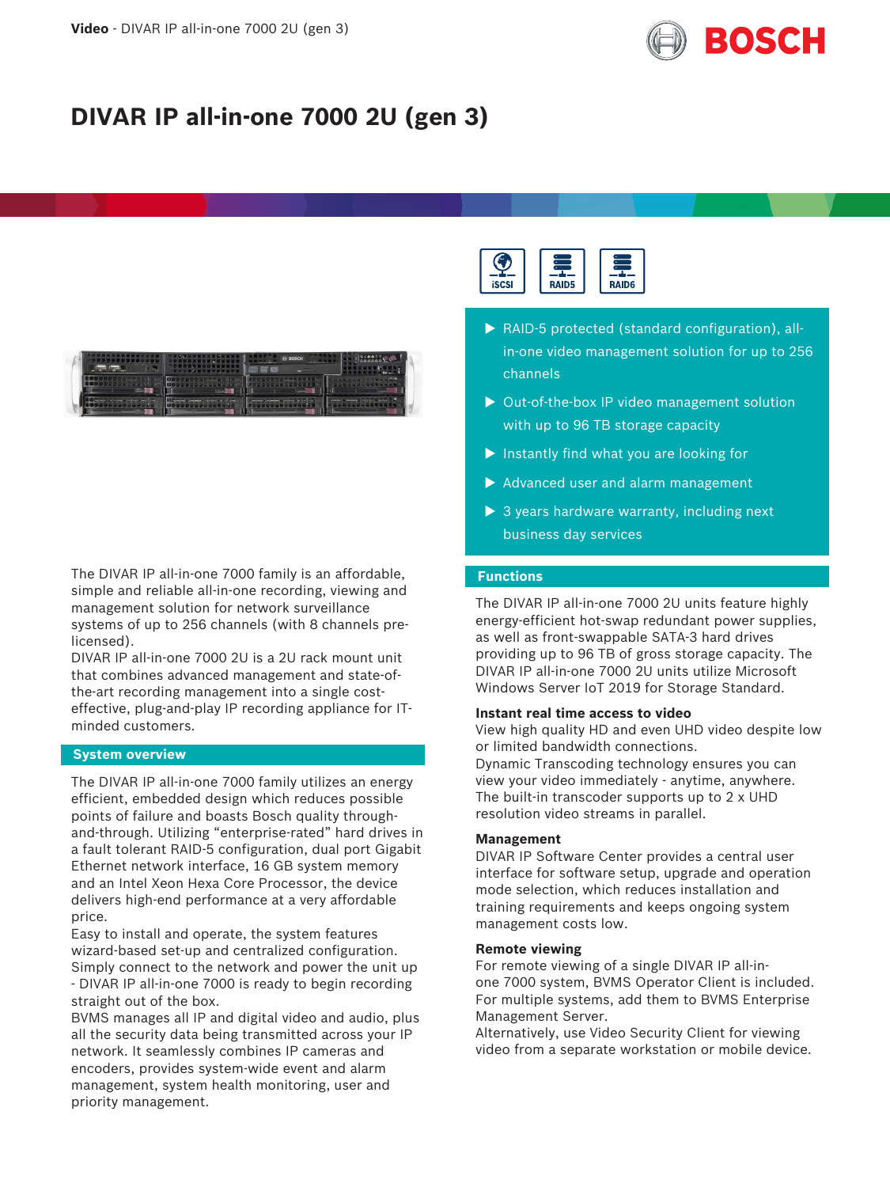

# **DIVAR IP all-in-one 7000 2U (gen 3)**



The DIVAR IP all-in-one 7000 family is an affordable, simple and reliable all-in-one recording, viewing and management solution for network surveillance systems of up to 256 channels (with 8 channels prelicensed).

DIVAR IP all-in-one 7000 2U is a 2U rack mount unit that combines advanced management and state-ofthe-art recording management into a single costeffective, plug-and-play IP recording appliance for ITminded customers.

#### **System overview**

The DIVAR IP all-in-one 7000 family utilizes an energy efficient, embedded design which reduces possible points of failure and boasts Bosch quality throughand-through. Utilizing "enterprise-rated" hard drives in a fault tolerant RAID-5 configuration, dual port Gigabit Ethernet network interface, 16 GB system memory and an Intel Xeon Hexa Core Processor, the device delivers high-end performance at a very affordable price.

Easy to install and operate, the system features wizard-based set-up and centralized configuration. Simply connect to the network and power the unit up - DIVAR IP all-in-one 7000 is ready to begin recording straight out of the box.

BVMS manages all IP and digital video and audio, plus all the security data being transmitted across your IP network. It seamlessly combines IP cameras and encoders, provides system-wide event and alarm management, system health monitoring, user and priority management.



- $\blacktriangleright$  RAID-5 protected (standard configuration), allin-one video management solution for up to 256 channels
- $\triangleright$  Out-of-the-box IP video management solution with up to 96 TB storage capacity
- $\blacktriangleright$  Instantly find what you are looking for
- $\blacktriangleright$  Advanced user and alarm management
- $\triangleright$  3 years hardware warranty, including next business day services

#### **Functions**

The DIVAR IP all-in-one 7000 2U units feature highly energy-efficient hot-swap redundant power supplies, as well as front-swappable SATA-3 hard drives providing up to 96 TB of gross storage capacity. The DIVAR IP all-in-one 7000 2U units utilize Microsoft Windows Server IoT 2019 for Storage Standard.

#### **Instant real time access to video**

View high quality HD and even UHD video despite low or limited bandwidth connections. Dynamic Transcoding technology ensures you can view your video immediately - anytime, anywhere.

The built-in transcoder supports up to 2 x UHD resolution video streams in parallel.

### **Management**

DIVAR IP Software Center provides a central user interface for software setup, upgrade and operation mode selection, which reduces installation and training requirements and keeps ongoing system management costs low.

#### **Remote viewing**

For remote viewing of a single DIVAR IP all-inone 7000 system, BVMS Operator Client is included. For multiple systems, add them to BVMS Enterprise Management Server.

Alternatively, use Video Security Client for viewing video from a separate workstation or mobile device.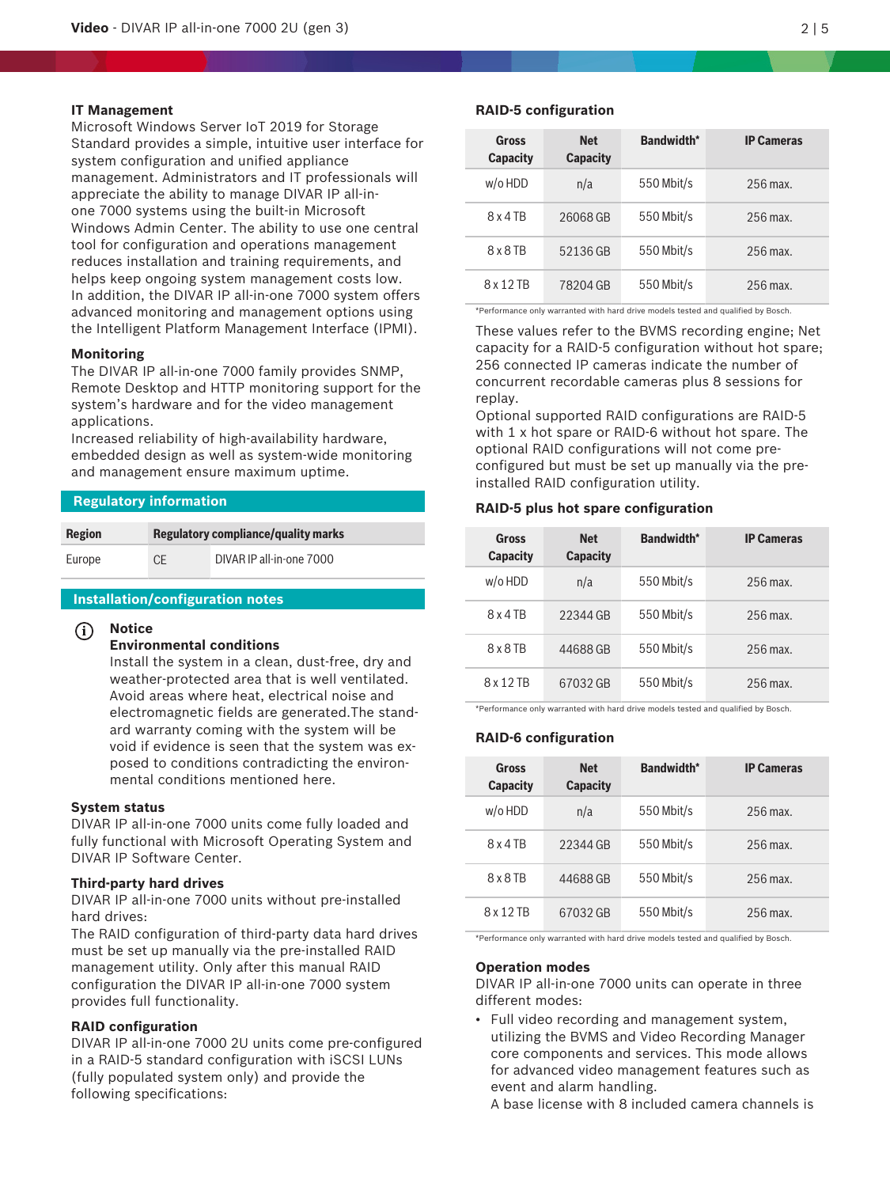#### **IT Management**

Microsoft Windows Server IoT 2019 for Storage Standard provides a simple, intuitive user interface for system configuration and unified appliance management. Administrators and IT professionals will appreciate the ability to manage DIVAR IP all-inone 7000 systems using the built-in Microsoft Windows Admin Center. The ability to use one central tool for configuration and operations management reduces installation and training requirements, and helps keep ongoing system management costs low. In addition, the DIVAR IP all-in-one 7000 system offers advanced monitoring and management options using the Intelligent Platform Management Interface (IPMI).

#### **Monitoring**

The DIVAR IP all-in-one 7000 family provides SNMP, Remote Desktop and HTTP monitoring support for the system's hardware and for the video management applications.

Increased reliability of high-availability hardware, embedded design as well as system-wide monitoring and management ensure maximum uptime.

### **Regulatory information**

| <b>Region</b> |    | <b>Regulatory compliance/quality marks</b> |
|---------------|----|--------------------------------------------|
| Europe        | СE | DIVAR IP all-in-one 7000                   |

### **Installation/configuration notes**

#### **i Notice**

#### **Environmental conditions**

Install the system in a clean, dust-free, dry and weather-protected area that is well ventilated. Avoid areas where heat, electrical noise and electromagnetic fields are generated.The standard warranty coming with the system will be void if evidence is seen that the system was exposed to conditions contradicting the environmental conditions mentioned here.

#### **System status**

DIVAR IP all-in-one 7000 units come fully loaded and fully functional with Microsoft Operating System and DIVAR IP Software Center.

#### **Third-party hard drives**

DIVAR IP all-in-one 7000 units without pre-installed hard drives:

The RAID configuration of third-party data hard drives must be set up manually via the pre-installed RAID management utility. Only after this manual RAID configuration the DIVAR IP all-in-one 7000 system provides full functionality.

#### **RAID configuration**

DIVAR IP all-in-one 7000 2U units come pre-configured in a RAID‑5 standard configuration with iSCSI LUNs (fully populated system only) and provide the following specifications:

#### **RAID‑5 configuration**

| Gross<br><b>Capacity</b> | <b>Net</b><br><b>Capacity</b> | <b>Bandwidth*</b> | <b>IP Cameras</b> |
|--------------------------|-------------------------------|-------------------|-------------------|
| w/o HDD                  | n/a                           | 550 Mbit/s        | $256$ max.        |
| 8 x 4 TB                 | 26068 GB                      | 550 Mbit/s        | $256$ max.        |
| $8 \times 8$ TR          | 52136 GB                      | 550 Mbit/s        | $256$ max.        |
| 8 x 12 TB                | 78204 GB                      | 550 Mbit/s        | $256$ max.        |

\*Performance only warranted with hard drive models tested and qualified by Bosch.

These values refer to the BVMS recording engine; Net capacity for a RAID-5 configuration without hot spare; 256 connected IP cameras indicate the number of concurrent recordable cameras plus 8 sessions for replay.

Optional supported RAID configurations are RAID‑5 with 1 x hot spare or RAID-6 without hot spare. The optional RAID configurations will not come preconfigured but must be set up manually via the preinstalled RAID configuration utility.

#### **RAID‑5 plus hot spare configuration**

| Gross<br><b>Capacity</b> | <b>Net</b><br><b>Capacity</b> | <b>Bandwidth*</b> | <b>IP Cameras</b> |
|--------------------------|-------------------------------|-------------------|-------------------|
| $w$ /o HDD               | n/a                           | 550 Mbit/s        | $256$ max.        |
| 8x4TB                    | 22344 GB                      | 550 Mbit/s        | $256$ max.        |
| $8 \times 8$ TR          | 44688 GB                      | 550 Mbit/s        | $256$ max.        |
| 8 x 12 TB                | 67032 GB                      | 550 Mbit/s        | $256$ max.        |

\*Performance only warranted with hard drive models tested and qualified by Bosch.

#### **RAID‑6 configuration**

| Gross<br><b>Capacity</b> | <b>Net</b><br><b>Capacity</b> | <b>Bandwidth*</b> | <b>IP Cameras</b> |
|--------------------------|-------------------------------|-------------------|-------------------|
| $w$ /o HDD               | n/a                           | 550 Mbit/s        | $256$ max.        |
| 8x4TB                    | 22344 GB                      | 550 Mbit/s        | $256$ max.        |
| $8 \times 8$ TR          | 44688 GB                      | 550 Mbit/s        | 256 max.          |
| 8 x 12 TB                | 67032 GB                      | 550 Mbit/s        | $256$ max.        |

\*Performance only warranted with hard drive models tested and qualified by Bosch.

#### **Operation modes**

DIVAR IP all-in-one 7000 units can operate in three different modes:

• Full video recording and management system, utilizing the BVMS and Video Recording Manager core components and services. This mode allows for advanced video management features such as event and alarm handling.

A base license with 8 included camera channels is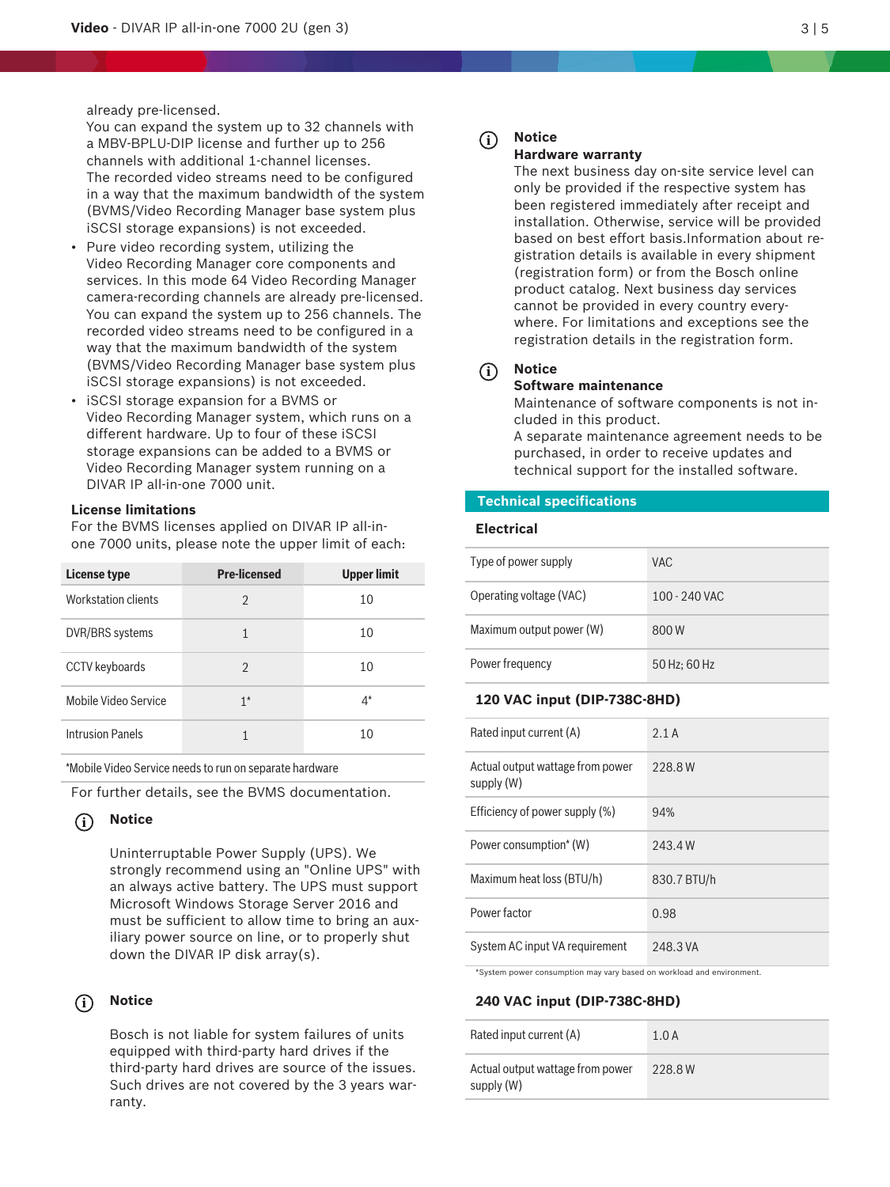already pre-licensed.

You can expand the system up to 32 channels with a MBV‑BPLU‑DIP license and further up to 256 channels with additional 1-channel licenses. The recorded video streams need to be configured in a way that the maximum bandwidth of the system (BVMS/Video Recording Manager base system plus iSCSI storage expansions) is not exceeded.

- Pure video recording system, utilizing the Video Recording Manager core components and services. In this mode 64 Video Recording Manager camera-recording channels are already pre-licensed. You can expand the system up to 256 channels. The recorded video streams need to be configured in a way that the maximum bandwidth of the system (BVMS/Video Recording Manager base system plus iSCSI storage expansions) is not exceeded.
- iSCSI storage expansion for a BVMS or Video Recording Manager system, which runs on a different hardware. Up to four of these iSCSI storage expansions can be added to a BVMS or Video Recording Manager system running on a DIVAR IP all-in-one 7000 unit.

#### **License limitations**

|                            | <b>License limitations</b>                                                                                                                                     | a MBV-BPLU-DIP license and further up to 256<br>channels with additional 1-channel licenses.<br>The recorded video streams need to be configured<br>(BVMS/Video Recording Manager base system plus<br>iSCSI storage expansions) is not exceeded.<br>Pure video recording system, utilizing the<br>Video Recording Manager core components and<br>services. In this mode 64 Video Recording Manager<br>camera-recording channels are already pre-licensed.<br>You can expand the system up to 256 channels. The<br>recorded video streams need to be configured in a<br>way that the maximum bandwidth of the system<br>(BVMS/Video Recording Manager base system plus<br>iSCSI storage expansions) is not exceeded.<br>iSCSI storage expansion for a BVMS or<br>Video Recording Manager system, which runs on a<br>different hardware. Up to four of these iSCSI<br>storage expansions can be added to a BVMS or<br>Video Recording Manager system running on a<br>DIVAR IP all-in-one 7000 unit.<br>For the BVMS licenses applied on DIVAR IP all-in-<br>one 7000 units, please note the upper limit of each: | in a way that the maximum bandwidth of the system | (i)<br><b>Tech</b><br>Electi |
|----------------------------|----------------------------------------------------------------------------------------------------------------------------------------------------------------|----------------------------------------------------------------------------------------------------------------------------------------------------------------------------------------------------------------------------------------------------------------------------------------------------------------------------------------------------------------------------------------------------------------------------------------------------------------------------------------------------------------------------------------------------------------------------------------------------------------------------------------------------------------------------------------------------------------------------------------------------------------------------------------------------------------------------------------------------------------------------------------------------------------------------------------------------------------------------------------------------------------------------------------------------------------------------------------------------------------|---------------------------------------------------|------------------------------|
| <b>License type</b>        |                                                                                                                                                                | <b>Pre-licensed</b>                                                                                                                                                                                                                                                                                                                                                                                                                                                                                                                                                                                                                                                                                                                                                                                                                                                                                                                                                                                                                                                                                            | <b>Upper limit</b>                                | Type of p                    |
|                            | <b>Workstation clients</b>                                                                                                                                     | $\overline{2}$                                                                                                                                                                                                                                                                                                                                                                                                                                                                                                                                                                                                                                                                                                                                                                                                                                                                                                                                                                                                                                                                                                 | 10                                                | Operatin                     |
|                            | DVR/BRS systems                                                                                                                                                | $\mathbf{1}$                                                                                                                                                                                                                                                                                                                                                                                                                                                                                                                                                                                                                                                                                                                                                                                                                                                                                                                                                                                                                                                                                                   | 10                                                | Maximur                      |
|                            | CCTV keyboards                                                                                                                                                 | $\overline{2}$                                                                                                                                                                                                                                                                                                                                                                                                                                                                                                                                                                                                                                                                                                                                                                                                                                                                                                                                                                                                                                                                                                 | 10                                                | Power fr                     |
|                            | Mobile Video Service                                                                                                                                           | $1^*$                                                                                                                                                                                                                                                                                                                                                                                                                                                                                                                                                                                                                                                                                                                                                                                                                                                                                                                                                                                                                                                                                                          | 4*                                                | 120 V                        |
|                            | <b>Intrusion Panels</b><br>10<br>$\mathbf{1}$                                                                                                                  |                                                                                                                                                                                                                                                                                                                                                                                                                                                                                                                                                                                                                                                                                                                                                                                                                                                                                                                                                                                                                                                                                                                |                                                   | Rated in                     |
|                            |                                                                                                                                                                | *Mobile Video Service needs to run on separate hardware                                                                                                                                                                                                                                                                                                                                                                                                                                                                                                                                                                                                                                                                                                                                                                                                                                                                                                                                                                                                                                                        |                                                   | Actual or<br>supply (\       |
|                            |                                                                                                                                                                | For further details, see the BVMS documentation.                                                                                                                                                                                                                                                                                                                                                                                                                                                                                                                                                                                                                                                                                                                                                                                                                                                                                                                                                                                                                                                               |                                                   | Efficienc                    |
| $\left( \mathbf{i}\right)$ | <b>Notice</b>                                                                                                                                                  |                                                                                                                                                                                                                                                                                                                                                                                                                                                                                                                                                                                                                                                                                                                                                                                                                                                                                                                                                                                                                                                                                                                |                                                   | Power co                     |
|                            |                                                                                                                                                                | Uninterruptable Power Supply (UPS). We<br>strongly recommend using an "Online UPS" with                                                                                                                                                                                                                                                                                                                                                                                                                                                                                                                                                                                                                                                                                                                                                                                                                                                                                                                                                                                                                        |                                                   | Maximur                      |
|                            |                                                                                                                                                                | an always active battery. The UPS must support<br>Microsoft Windows Storage Server 2016 and                                                                                                                                                                                                                                                                                                                                                                                                                                                                                                                                                                                                                                                                                                                                                                                                                                                                                                                                                                                                                    |                                                   | Power fa                     |
|                            |                                                                                                                                                                | must be sufficient to allow time to bring an aux-<br>iliary power source on line, or to properly shut                                                                                                                                                                                                                                                                                                                                                                                                                                                                                                                                                                                                                                                                                                                                                                                                                                                                                                                                                                                                          |                                                   | System /                     |
|                            |                                                                                                                                                                | down the DIVAR IP disk array(s).                                                                                                                                                                                                                                                                                                                                                                                                                                                                                                                                                                                                                                                                                                                                                                                                                                                                                                                                                                                                                                                                               |                                                   | *System p                    |
| $\rm(i)$                   | <b>Notice</b>                                                                                                                                                  |                                                                                                                                                                                                                                                                                                                                                                                                                                                                                                                                                                                                                                                                                                                                                                                                                                                                                                                                                                                                                                                                                                                |                                                   | 240 V                        |
|                            |                                                                                                                                                                | Bosch is not liable for system failures of units                                                                                                                                                                                                                                                                                                                                                                                                                                                                                                                                                                                                                                                                                                                                                                                                                                                                                                                                                                                                                                                               |                                                   | Rated in                     |
|                            | equipped with third-party hard drives if the<br>third-party hard drives are source of the issues.<br>Such drives are not covered by the 3 years war-<br>ranty. |                                                                                                                                                                                                                                                                                                                                                                                                                                                                                                                                                                                                                                                                                                                                                                                                                                                                                                                                                                                                                                                                                                                |                                                   | Actual or<br>supply (\       |

#### **i Notice**

#### **i Notice**

#### **Notice**

#### **Hardware warranty**

The next business day on-site service level can only be provided if the respective system has been registered immediately after receipt and installation. Otherwise, service will be provided based on best effort basis.Information about registration details is available in every shipment (registration form) or from the Bosch online product catalog. Next business day services cannot be provided in every country everywhere. For limitations and exceptions see the registration details in the registration form.

#### **i Notice**

## **Software maintenance**

Maintenance of software components is not included in this product.

A separate maintenance agreement needs to be purchased, in order to receive updates and technical support for the installed software.

#### **Technical specifications**

#### **Electrical**

| Type of power supply     | VAC.          |
|--------------------------|---------------|
| Operating voltage (VAC)  | 100 - 240 VAC |
| Maximum output power (W) | 800W          |
| Power frequency          | 50 Hz: 60 Hz  |

#### **120 VAC input (DIP-738C-8HD)**

| Rated input current (A)                       | 2.1A        |
|-----------------------------------------------|-------------|
| Actual output wattage from power<br>supply(W) | 228.8W      |
| Efficiency of power supply (%)                | 94%         |
| Power consumption* (W)                        | 243.4W      |
| Maximum heat loss (BTU/h)                     | 830.7 BTU/h |
| Power factor                                  | 0.98        |
| System AC input VA requirement                | 248.3 VA    |

\*System power consumption may vary based on workload and environment.

#### **240 VAC input (DIP-738C-8HD)**

| Rated input current (A)                        | 1.0A   |
|------------------------------------------------|--------|
| Actual output wattage from power<br>supply (W) | 228.8W |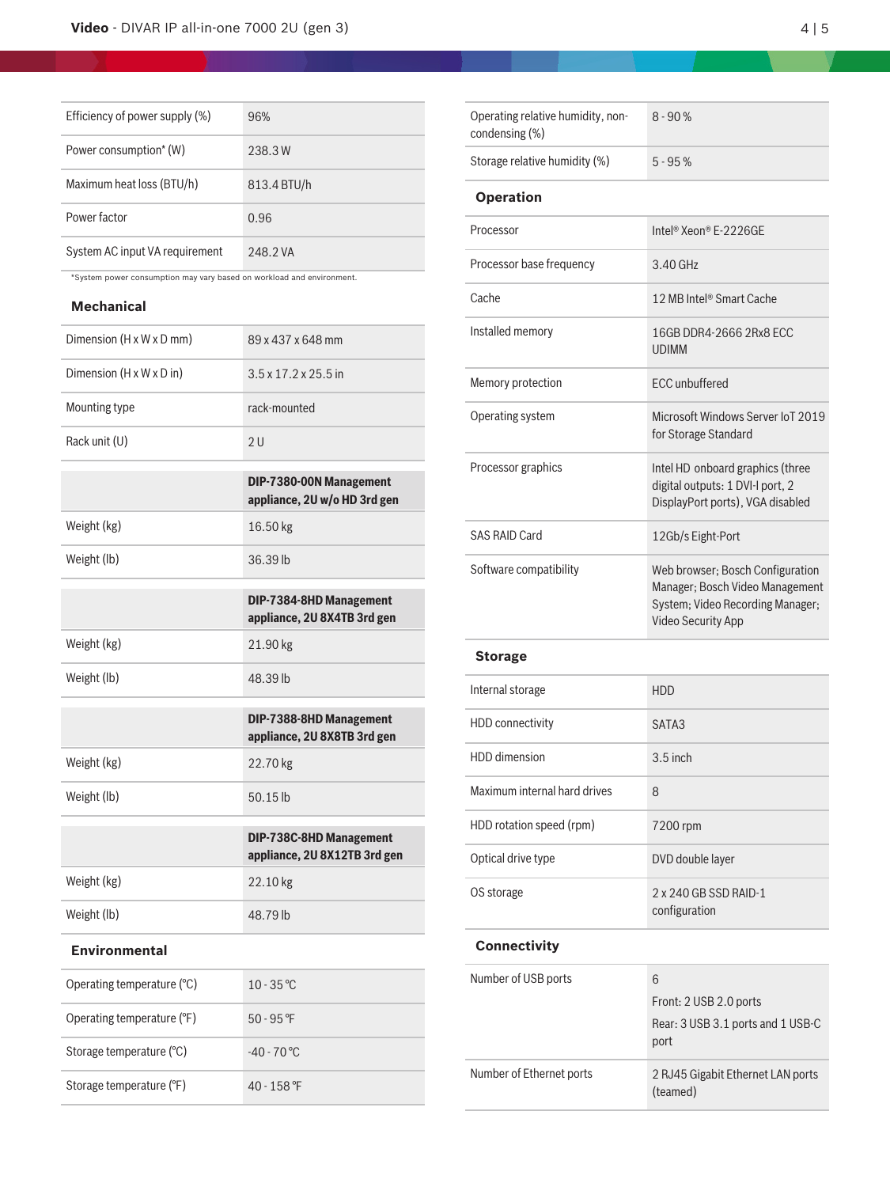| Efficiency of power supply (%) | 96%         |
|--------------------------------|-------------|
| Power consumption* (W)         | 238.3W      |
| Maximum heat loss (BTU/h)      | 813.4 BTU/h |
| Power factor                   | 0.96        |
| System AC input VA requirement | 248.2 VA    |

\*System power consumption may vary based on workload and environment.

## **Mechanical**

| Dimension (H x W x D mm)   | 89 x 437 x 648 mm                                       |
|----------------------------|---------------------------------------------------------|
| Dimension (H x W x D in)   | $3.5 \times 17.2 \times 25.5$ in                        |
| Mounting type              | rack-mounted                                            |
| Rack unit (U)              | 2U                                                      |
|                            | DIP-7380-00N Management<br>appliance, 2U w/o HD 3rd gen |
| Weight (kg)                | 16.50 kg                                                |
| Weight (lb)                | 36.39 lb                                                |
|                            | DIP-7384-8HD Management<br>appliance, 2U 8X4TB 3rd gen  |
| Weight (kg)                | 21.90 kg                                                |
| Weight (lb)                | 48.39 lb                                                |
|                            |                                                         |
|                            | DIP-7388-8HD Management<br>appliance, 2U 8X8TB 3rd gen  |
| Weight (kg)                | 22.70 kg                                                |
| Weight (lb)                | 50.15 lb                                                |
|                            | DIP-738C-8HD Management<br>appliance, 2U 8X12TB 3rd gen |
| Weight (kg)                | 22.10 kg                                                |
| Weight (lb)                | 48.79 lb                                                |
| <b>Environmental</b>       |                                                         |
| Operating temperature (°C) | $10 - 35$ °C                                            |
| Operating temperature (°F) | $50 - 95$ <sup>°</sup> F                                |
| Storage temperature (°C)   | $-40 - 70$ °C                                           |

| Operating relative humidity, non-<br>condensing (%) | $8 - 90%$                                                                                                                            |
|-----------------------------------------------------|--------------------------------------------------------------------------------------------------------------------------------------|
| Storage relative humidity (%)                       | $5 - 95%$                                                                                                                            |
| <b>Operation</b>                                    |                                                                                                                                      |
| Processor                                           | Intel <sup>®</sup> Xeon® E-2226GE                                                                                                    |
| Processor base frequency                            | $3.40$ GHz                                                                                                                           |
| Cache                                               | 12 MB Intel® Smart Cache                                                                                                             |
| Installed memory                                    | 16GB DDR4-2666 2Rx8 ECC<br><b>UDIMM</b>                                                                                              |
| Memory protection                                   | <b>ECC</b> unbuffered                                                                                                                |
| Operating system                                    | Microsoft Windows Server IoT 2019<br>for Storage Standard                                                                            |
| Processor graphics                                  | Intel HD onboard graphics (three<br>digital outputs: 1 DVI-I port, 2<br>DisplayPort ports), VGA disabled                             |
| <b>SAS RAID Card</b>                                | 12Gb/s Eight-Port                                                                                                                    |
| Software compatibility                              | Web browser; Bosch Configuration<br>Manager; Bosch Video Management<br>System; Video Recording Manager;<br><b>Video Security App</b> |

### **Storage**

| Internal storage             | <b>HDD</b>                             |
|------------------------------|----------------------------------------|
| HDD connectivity             | SATA3                                  |
| HDD dimension                | $3.5$ inch                             |
| Maximum internal hard drives | 8                                      |
| HDD rotation speed (rpm)     | 7200 rpm                               |
| Optical drive type           | DVD double layer                       |
| OS storage                   | 2 x 240 GB SSD RAID-1<br>configuration |
|                              |                                        |

## **Connectivity**

| Number of USB ports      | 6                                             |
|--------------------------|-----------------------------------------------|
|                          | Front: 2 USB 2.0 ports                        |
|                          | Rear: 3 USB 3.1 ports and 1 USB-C<br>port     |
| Number of Ethernet ports | 2 RJ45 Gigabit Ethernet LAN ports<br>(teamed) |